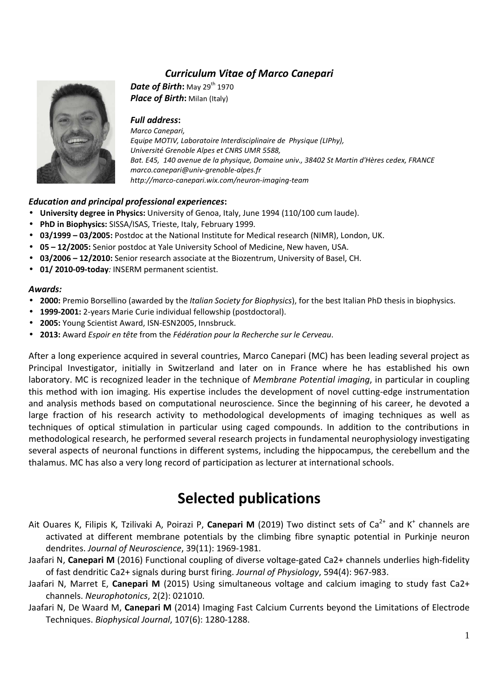# *Curriculum Vitae of Marco Canepari*



*Date of Birth***:** May 29<sup>th</sup> 1970 *Place of Birth***:** Milan (Italy)

*Full address***:**  *Marco Canepari, Equipe MOTIV, Laboratoire Interdisciplinaire de Physique (LIPhy), Université Grenoble Alpes et CNRS UMR 5588, Bat. E45, 140 avenue de la physique, Domaine univ., 38402 St Martin d'Hères cedex, FRANCE marco.canepari@univ-grenoble-alpes.fr http://marco-canepari.wix.com/neuron-imaging-team* 

## *Education and principal professional experiences***:**

- **University degree in Physics:** University of Genoa, Italy, June 1994 (110/100 cum laude).
- **PhD in Biophysics:** SISSA/ISAS, Trieste, Italy, February 1999.
- **03/1999 03/2005:** Postdoc at the National Institute for Medical research (NIMR), London, UK.
- **05 12/2005:** Senior postdoc at Yale University School of Medicine, New haven, USA.
- **03/2006 12/2010:** Senior research associate at the Biozentrum, University of Basel, CH.
- **01/ 2010-09-today***:* INSERM permanent scientist.

#### *Awards:*

- **2000:** Premio Borsellino (awarded by the *Italian Society for Biophysics*), for the best Italian PhD thesis in biophysics.
- **1999-2001:** 2-years Marie Curie individual fellowship (postdoctoral).
- **2005:** Young Scientist Award, ISN-ESN2005, Innsbruck.
- **2013:** Award *Espoir en tête* from the *Fédération pour la Recherche sur le Cerveau*.

After a long experience acquired in several countries, Marco Canepari (MC) has been leading several project as Principal Investigator, initially in Switzerland and later on in France where he has established his own laboratory. MC is recognized leader in the technique of *Membrane Potential imaging*, in particular in coupling this method with ion imaging. His expertise includes the development of novel cutting-edge instrumentation and analysis methods based on computational neuroscience. Since the beginning of his career, he devoted a large fraction of his research activity to methodological developments of imaging techniques as well as techniques of optical stimulation in particular using caged compounds. In addition to the contributions in methodological research, he performed several research projects in fundamental neurophysiology investigating several aspects of neuronal functions in different systems, including the hippocampus, the cerebellum and the thalamus. MC has also a very long record of participation as lecturer at international schools.

# **Selected publications**

- Ait Ouares K, Filipis K, Tzilivaki A, Poirazi P, **Canepari M** (2019) Two distinct sets of Ca<sup>2+</sup> and K<sup>+</sup> channels are activated at different membrane potentials by the climbing fibre synaptic potential in Purkinje neuron dendrites. *Journal of Neuroscience*, 39(11): 1969-1981.
- Jaafari N, **Canepari M** (2016) Functional coupling of diverse voltage-gated Ca2+ channels underlies high-fidelity of fast dendritic Ca2+ signals during burst firing. *Journal of Physiology*, 594(4): 967-983.
- Jaafari N, Marret E, **Canepari M** (2015) Using simultaneous voltage and calcium imaging to study fast Ca2+ channels. *Neurophotonics*, 2(2): 021010.
- Jaafari N, De Waard M, **Canepari M** (2014) Imaging Fast Calcium Currents beyond the Limitations of Electrode Techniques. *Biophysical Journal*, 107(6): 1280-1288.